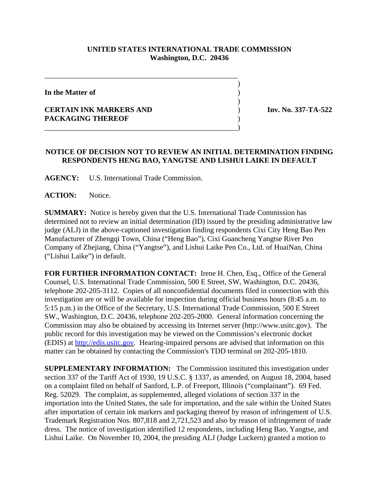## **UNITED STATES INTERNATIONAL TRADE COMMISSION Washington, D.C. 20436**

 $\overline{\phantom{a}}$ 

 $\overline{\phantom{a}}$ 

**In the Matter of** )

## **CERTAIN INK MARKERS AND** ) **Inv. No. 337-TA-522 PACKAGING THEREOF** )

## **NOTICE OF DECISION NOT TO REVIEW AN INITIAL DETERMINATION FINDING RESPONDENTS HENG BAO, YANGTSE AND LISHUI LAIKE IN DEFAULT**

**AGENCY:** U.S. International Trade Commission.

\_\_\_\_\_\_\_\_\_\_\_\_\_\_\_\_\_\_\_\_\_\_\_\_\_\_\_\_\_\_\_\_\_\_\_\_\_\_\_\_\_\_\_\_\_\_\_\_\_\_\_\_

\_\_\_\_\_\_\_\_\_\_\_\_\_\_\_\_\_\_\_\_\_\_\_\_\_\_\_\_\_\_\_\_\_\_\_\_\_\_\_\_\_\_\_\_\_\_\_\_\_\_\_\_)

**ACTION:** Notice.

**SUMMARY:** Notice is hereby given that the U.S. International Trade Commission has determined not to review an initial determination (ID) issued by the presiding administrative law judge (ALJ) in the above-captioned investigation finding respondents Cixi City Heng Bao Pen Manufacturer of Zhengqi Town, China ("Heng Bao"), Cixi Guancheng Yangtse River Pen Company of Zhejiang, China ("Yangtse"), and Lishui Laike Pen Co., Ltd. of HuaiNan, China ("Lishui Laike") in default.

**FOR FURTHER INFORMATION CONTACT:** Irene H. Chen, Esq., Office of the General Counsel, U.S. International Trade Commission, 500 E Street, SW, Washington, D.C. 20436, telephone 202-205-3112. Copies of all nonconfidential documents filed in connection with this investigation are or will be available for inspection during official business hours (8:45 a.m. to 5:15 p.m.) in the Office of the Secretary, U.S. International Trade Commission, 500 E Street SW., Washington, D.C. 20436, telephone 202-205-2000. General information concerning the Commission may also be obtained by accessing its Internet server (http://www.usitc.gov). The public record for this investigation may be viewed on the Commission's electronic docket (EDIS) at http://edis.usitc.gov*.* Hearing-impaired persons are advised that information on this matter can be obtained by contacting the Commission's TDD terminal on 202-205-1810.

**SUPPLEMENTARY INFORMATION:** The Commission instituted this investigation under section 337 of the Tariff Act of 1930, 19 U.S.C. § 1337, as amended, on August 18, 2004, based on a complaint filed on behalf of Sanford, L.P. of Freeport, Illinois ("complainant"). 69 Fed. Reg. 52029. The complaint, as supplemented, alleged violations of section 337 in the importation into the United States, the sale for importation, and the sale within the United States after importation of certain ink markers and packaging thereof by reason of infringement of U.S. Trademark Registration Nos. 807,818 and 2,721,523 and also by reason of infringement of trade dress. The notice of investigation identified 12 respondents, including Heng Bao, Yangtse, and Lishui Laike. On November 10, 2004, the presiding ALJ (Judge Luckern) granted a motion to